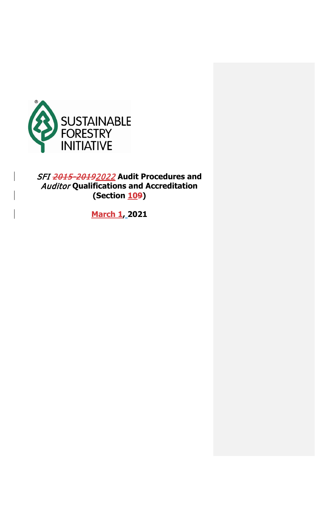

SFI 2015-20192022 **Audit Procedures and**  Auditor **Qualifications and Accreditation (Section 109)**

**March 1, 2021**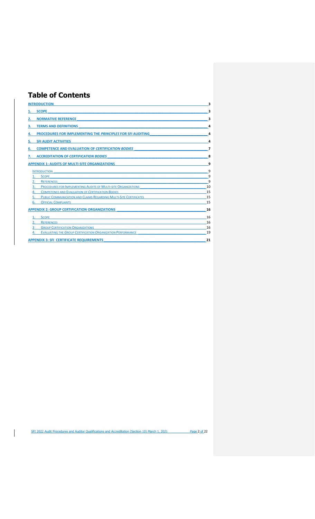# **Table of Contents**

| <b>INTRODUCTION</b>                                               | 3  |
|-------------------------------------------------------------------|----|
| <b>SCOPE</b>                                                      | 3  |
| <b>NORMATIVE REFERENCE</b>                                        | ٦  |
| <b>TERMS AND DEFINITIONS</b><br>З.                                | 4  |
| PROCEDURES FOR IMPLEMENTING THE PRINCIPLES FOR SFI AUDITING       | 4  |
| <b>SFI AUDIT ACTIVITIES</b>                                       | 4  |
| <b>COMPETENCE AND EVALUATION OF CERTIFICATION BODIES</b><br>6.    | 7  |
| <b>ACCREDITATION OF CERTIFICATION BODIES</b><br>7.                | 8  |
| <b>APPENDIX 1: AUDITS OF MULTI-SITE ORGANIZATIONS</b>             | 9  |
| <b>INTRODUCTION</b>                                               | 9  |
| <b>SCOPE</b>                                                      | 9  |
| <b>REFERENCES</b>                                                 | 9  |
| PROCEDURES FOR IMPLEMENTING AUDITS OF MULTI-SITE ORGANIZATIONS    | 10 |
| <b>COMPETENCE AND EVALUATION OF CERTIFICATION BODIES</b>          | 15 |
| PUBLIC COMMUNICATION AND CLAIMS REGARDING MULTI-SITE CERTIFICATES | 15 |
| <b>OFFICIAL COMPLAINTS</b><br>6.                                  | 15 |
| <b>APPENDIX 2: GROUP CERTIFICATION ORGANIZATIONS</b>              | 16 |
| <b>SCOPE</b>                                                      | 16 |
| <b>REFERENCES</b>                                                 | 16 |
| <b>GROUP CERTIFICATION ORGANIZATIONS</b>                          | 16 |
| EVALUATING THE GROUP CERTIFICATION ORGANIZATION PERFORMANCE       | 19 |
| <b>APPENDIX 3: SFI CERTIFICATE REQUIREMENTS</b>                   | 21 |

SFI 2022 Audit Procedures and Auditor Qualifications and Accreditation (Section 10) March 1, 2021 Page 2 of 22

 $\overline{\phantom{a}}$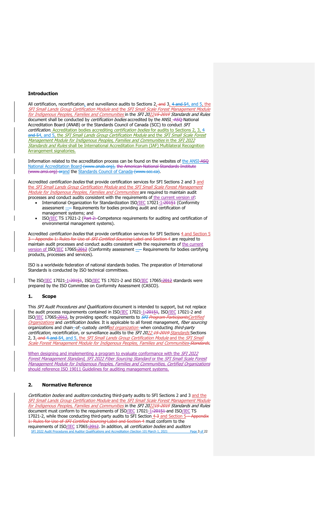# <span id="page-2-0"></span>**Introduction**

All certification, recertification, and surveillance audits to Sections  $2<sub>x</sub>$  and  $3<sub>x</sub>$  4 and  $5<sub>x</sub>$  and  $5<sub>x</sub>$  the SFI Small Lands Group Certification Module and the SFI Small Scale Forest Management Module <u>for Indigenous Peoples, Families and Communities i</u>n the *SFI 20<u>2245-2019</u> Standards and Rules* document shall be conducted by *certification bodies* accredited by the ANSI -ASQ-National Accreditation Board (ANAB) or the Standards Council of Canada (SCC) to conduct SFI certification. Accreditation bodies accrediting certification bodies for audits to Sections 2, and 54, and 5, the SFI Small Lands Group Certification Module and the SFI Small Scale Forest Management Module for Indigenous Peoples, Families and Communities in the SFI 2022 **Standards and Rules shall be International Accreditation Forum (IAF) Multilateral Recognition** Arrangement signatories.

Information related to the accreditation process can be found on the websites of the [ANSI-ASQ](http://www.anab.org/) [National Accreditation Board](http://www.anab.org/) (www.anab.org), the American National Standards Institute (www.ansi.org) orand the [Standards Council of Canada](http://www.scc.ca/) (www.scc.ca).

Accredited certification bodies that provide certification services for SFI Sections 2 and 3 and the SFI Small Lands Group Certification Module and the SFI Small Scale Forest Management Module for Indigenous Peoples, Families and Communities are required to maintain audit processes and conduct audits consistent with the requirements of the current version of:

- International Organization for Standardization ISO/IEC 17021-1:20151 (Conformity assessment —– Requirements for bodies providing audit and certification of management systems; and
- ISO/IEC TS 17021-2 (Part 2: Competence requirements for auditing and certification of environmental management systems).

Accredited *certification bodies* that provide certification services for SFI Sections 4 and Section 5 ppendix 1: Rules for Use of *SFI Certified Sourcing* Label and Section 4 are required to maintain audit processes and conduct audits consistent with the requirements of the current version of ISO/IEC 17065:2012 (Conformity assessment - Requirements for bodies certifying products, processes and services).

ISO is a worldwide federation of national standards bodies. The preparation of International Standards is conducted by ISO technical committees.

The ISO/IEC 17021-1:20151, ISO/IEC TS 17021-2 and ISO/IEC 17065:2012 standards were prepared by the ISO Committee on Conformity Assessment (CASCO).

### <span id="page-2-1"></span>**1. Scope**

This SFI Audit Procedures and Qualifications document is intended to support, but not replace the audit process requirements contained in ISO/IEC 17021-1:20151, ISO/IEC 17021-2 and ISO/IEC 17065:2012, by providing specific requirements to **SFI Program ParticipantsCertified** Organizations and certification bodies. It is applicable to all forest management, fiber sourcing organizations and chain-of-custody certified organization-when conducting third-party certification, recertification, or surveillance audits to the SFI 2022 15-2019 Standards Sections 2, 3<sub>x</sub>-and 4 and 54, and 5, the SFI Small Lands Group Certification Module and the SFI Small Scale Forest Management Module for Indigenous Peoples, Families and Communities Standards.

When designing and implementing a program to evaluate conformance with the *SFI 2022* Forest Management Standard, SFI 2022 Fiber Sourcing Standard or the SFI Small Scale Forest Management Module for Indigenous Peoples, Families and Communities, Certified Organizations should reference ISO 19011 Guidelines for auditing management systems.

# <span id="page-2-2"></span>**2. Normative Reference**

SFI 2022 Audit Procedures and Auditor Qualifications and Accreditation (Section 10) March 1, 2021 Page 3 of 22 Certification bodies and auditors conducting third-party audits to SFI Sections 2 and 3 and the SFI Small Lands Group Certification Module and the SFI Small Scale Forest Management Module <u>for Indigenous Peoples, Families and Communities i</u>n the *SFI 20<u>224<del>5-2019</del> Standards and Rules*</u> document must conform to the requirements of ISO/IEC 17021-1:20151 and ISO/IEC TS 17021-2, while those conducting third-party audits to SFI Section 4-3 and Section 5-Appendix 1: Rules for Use of *SFI Certified Sourcing* Label and Section 4 must conform to the requirements of ISO/<u>IEC</u> 17065<u>:2012</u>. In addition, all *certification bodies* and *auditors*<br>SFI 2022 Audit Procedures and Auditor Qualifications and Accreditation (Section 10) March 1, 2021 Page 3 of 22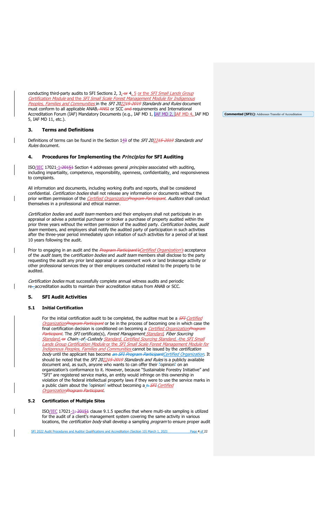conducting third-party audits to SFI Sections 2, 3, or 4, 5 or the SFI Small Lands Group Certification Module and the SFI Small Scale Forest Management Module for Indigenous Peoples, Families and Communities in the SFI 202245-2019 Standards and Rules document must conform to all applicable ANAB, ANSI or SCC and requirements and International Accreditation Forum (IAF) Mandatory Documents (e.g., IAF MD 1, IAF MD 2, IAF MD 4, IAF MD 5, IAF MD 11, etc.).

# <span id="page-3-0"></span>**3. Terms and Definitions**

Definitions of terms can be found in the Section 143 of the SFI 202215-2019 Standards and Rules document.

# <span id="page-3-1"></span>**4. Procedures for Implementing the** Principles **for SFI Auditing**

ISO/IEC 17021-1:20151 Section 4 addresses general principles associated with auditing, including impartiality, competence, responsibility, openness, confidentiality, and responsiveness to complaints.

All information and documents, including working drafts and reports, shall be considered confidential. Certification bodies shall not release any information or documents without the prior written permission of the *Certified Organization Program Participant. Auditors* shall conduct themselves in a professional and ethical manner.

Certification bodies and audit team members and their employers shall not participate in an appraisal or advise a potential purchaser or broker a purchase of property audited within the prior three years without the written permission of the audited party. Certification bodies, audit team members, and employers shall notify the audited party of participation in such activities after the three-year period immediately upon initiation of such activities for a period of at least 10 years following the audit.

Prior to engaging in an audit and the Program Participant's Certified Organization's acceptance of the *audit team*, the certification bodies and audit team members shall disclose to the party requesting the audit any prior land appraisal or assessment work or land brokerage activity or other professional services they or their employers conducted related to the property to be audited.

Certification bodies must successfully complete annual witness audits and periodic re-accreditation audits to maintain their accreditation status from ANAB or SCC.

# <span id="page-3-2"></span>**5. SFI Audit Activities**

### **5.1 Initial Certification**

For the initial certification audit to be completed, the auditee must be a *SFI Certified* OrganizationProgram Participant or be in the process of becoming one in which case the final certification decision is conditioned on becoming a *Certified OrganizationProgram* Participant. The SFI certificate(s), Forest Management Standard, Fiber Sourcing Standard, or Chain-of-Custody Standard, Certified Sourcing Standard, the SFI Small Lands Group Certification Module or the SFI Small Scale Forest Management Module for Indigenous Peoples, Families and Communities cannot be issued by the certification body until the applicant has become an SFI Program ParticipantCertified Organization. It should be noted that the SFI 202215-2019 Standards and Rules is a publicly available document and, as such, anyone who wants to can offer their "opinion" on an organization's conformance to it. However, because "Sustainable Forestry Initiative" and "SFI" are registered service marks, an entity would infringe on this ownership in violation of the federal intellectual property laws if they were to use the service marks in a public claim about the "opinion" without becoming a n SFI Certified OrganizationProgram Participant.

# **5.2 Certification of Multiple Sites**

ISO/IEC 17021-1: 20151 clause 9.1.5 specifies that where multi-site sampling is utilized for the audit of a client's management system covering the same activity in various locations, the *certification body* shall develop a sampling *program* to ensure proper audit

SFI 2022 Audit Procedures and Auditor Qualifications and Accreditation (Section 10) March 1, 2021 Page 4 of 22

**Commented [SFI1]:** Addresses Transfer of Accreditation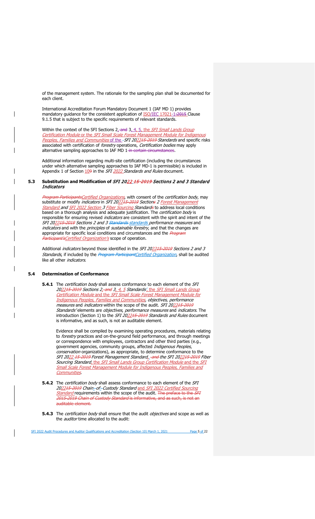of the management system. The rationale for the sampling plan shall be documented for each client.

International Accreditation Forum Mandatory Document 1 (IAF MD 1) provides mandatory guidance for the consistent application of **ISO/IEC 17021-1:2015** Clause 9.1.5 that is subject to the specific requirements of relevant standards.

Within the context of the SFI Sections  $2<sub>x</sub>$  and  $3<sub>x</sub>$  4, 5, the SFI Small Lands Group Certification Module or the SFI Small Scale Forest Management Module for Indige Peoples, Families and Communities of the -SFI 202215-2019 Standards and specific risks associated with certification of forestry operations, Certification bodies may apply alternative sampling approaches to IAF MD 1-in certain circumstances.

Additional information regarding multi-site certification (including the circumstances under which alternative sampling approaches to IAF MD-1 is permissible) is included in Appendix 1 of Section 109 in the SFI 2022 Standards and Rules document.

# **5.3 Substitution and Modification of** SFI 2022 15-2019 Sections 2 and 3 Standard Indicators

Program ParticipantsCertified Organizations, with consent of the certification body, may substitute or modify indicators in SFI 202215-2019 Sections 2 Forest Management Standard and SFI 2022 Section 3 Fiber Sourcing Standards to address local conditions based on a thorough analysis and adequate justification. The certification body is responsible for ensuring revised indicators are consistent with the spirit and intent of the SFI 202245-2019 Sections 2 and 3 Standards standards performance measures and indicators and with the principles of sustainable forestry, and that the changes are appropriate for specific local conditions and circumstances and the *Program* Participant's Certified Organization's scope of operation.

Additional indicators beyond those identified in the SFI 202245-2019 Sections 2 and 3 Standards, if included by the Program ParticipantCertified Organization, shall be audited like all other *indicators*.

# **5.4 Determination of Conformance**

**5.4.1** The *certification body* shall assess conformance to each element of the *SFI* 202215-2019 Sections 2, and 3, 4, 5 Standards', the SFI Small Lands Group Certification Module and the SFI Small Scale Forest Management Module for Indigenous Peoples, Families and Communities, objectives, performance measures and indicators within the scope of the audit. SFI 202245-2019 Standards' elements are *objectives, performance measures* and *indicators*. The introduction (Section 1) to the *SFI 20<u>22<del>15-2019</del> Standards and Rules* document</u> is informative, and as such, is not an auditable element.

Evidence shall be compiled by examining operating procedures, materials relating to forestry practices and on-the-ground field performance, and through meetings or correspondence with employees, contractors and other third parties (e.g., government agencies, community groups, affected Indigenous Peoples, conservation organizations), as appropriate, to determine conformance to the SFI 2022 15-2019 Forest Management Standard, and the SFI 202215-2019 Fiber Sourcing Standard, the SFI Small Lands Group Certification Module and the SFI Small Scale Forest Management Module for Indigenous Peoples, Families and **Communities** 

- **5.4.2** The *certification body* shall assess conformance to each element of the *SFI* 202215-2019 Chain-of-Custody Standard and SFI 2022 Certified Sourcing Standard requirements within the scope of the audit. The preface to the SFI 2015-2019 Chain of Custody Standard is informative, and as such, is not an auditable element.
- **5.4.3** The certification body shall ensure that the audit objectives and scope as well as the *auditor* time allocated to the audit:

SFI 2022 Audit Procedures and Auditor Qualifications and Accreditation (Section 10) March 1, 2021 Page 5 of 22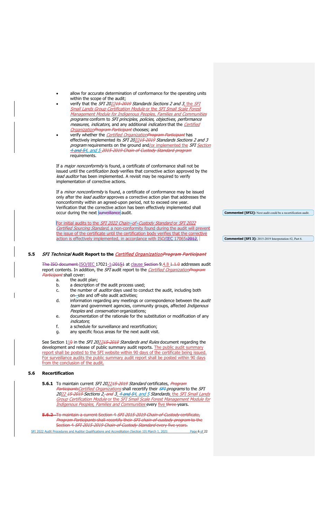- allow for accurate determination of conformance for the operating units within the scope of the audit;
- verify that the SFI 202245 2019 Standards Sections 2 and 3, the SFI Small Lands Group Certification Module or the SFI Small Scale Forest Management Module for Indigenous Peoples, Families and Communities programs conform to SFI principles, policies, objectives, performance measures, indicators, and any additional indicators that the Certified OrganizationProgram Participant chooses; and
- verify whether the *Certified OrganizationProgram Participant* has effectively implemented its SFI 202245-2019 Standards Sections 2 and 3 program requirements on the ground and/or implemented the SFI Section 4 and 54, and 5 2015-2019 Chain of Custody Standard program requirements.

If a *major nonconformity* is found, a certificate of conformance shall not be issued until the certification body verifies that corrective action approved by the lead auditor has been implemented. A revisit may be required to verify implementation of corrective actions.

If a *minor nonconformity* is found, a certificate of conformance may be issued only after the lead auditor approves a corrective action plan that addresses the nonconformity within an agreed-upon period, not to exceed one year. Verification that the corrective action has been effectively implemented shall occur during the next surveillance audit.

For initial audits to the SFI 2022 Chain-of-Custody Standard or SFI 2022 Certified Sourcing Standard, a non-conformity found during the audit will prevent the issue of the certificate until the certification body verifies that the corrective action is effectively implemented, in accordance with ISO/IEC 17065:2012.

# **5.5** SFI Technical **Audit Report to the** Certified OrganizationProgram Participant

The ISO document ISO/IEC 17021-1:20151 at clause Section 9.4.8 1.1.0 addresses audit report contents. In addition, the SFI audit report to the Certified OrganizationProgram Participant shall cover:<br>a. the aud

- a. the audit plan;<br>b. a description of
- a description of the audit process used;
- c. the number of *auditor* days used to conduct the audit, including both on-site and off-site audit activities;
- d. information regarding any meetings or correspondence between the *audit* team and government agencies, community groups, affected Indigenous Peoples and conservation organizations;
- e. documentation of the rationale for the substitution or modification of any indicators;
- f. a schedule for surveillance and recertification;
- g. any specific focus areas for the next audit visit.

See Section 110 in the SFI 202215-2019 Standards and Rules document regarding the development and release of public summary audit reports. The public audit summary report shall be posted to the SFI website within 90 days of the certificate being issued. For surveillance audits the public summary audit report shall be posted within 90 days from the conclusion of the audit.

# **5.6 Recertification**

**5.6.1** To maintain current SFI 202245 2019 Standard certificates, Program ParticipantsCertified Organizations</u> shall recertify their SFI programs to the SFI 2022 15-2019 Sections 2<sub>r</sub> and 3, 4 and 54, and 5 Standards, the SFI Small Lands Group Certification Module or the SFI Small Scale Forest Management Module for Indigenous Peoples, Families and Communities every five three years.

**5.6.2** To maintain a current Section 4 SFI 2015-2019 Chain-of-Custody certificate, Program Participants shall recertify their SFI chain of custody program to the Section 4 SFI 2015-2019 Chain-of-Custody Standard every five years.

SFI 2022 Audit Procedures and Auditor Qualifications and Accreditation (Section 10) March 1, 2021 Page 6 of 22

**Commented [SFI2]:** Next audit could be a recertification audit.

**Commented [SFI 3]:** 2015-2019 Interpretation #2, Part 6.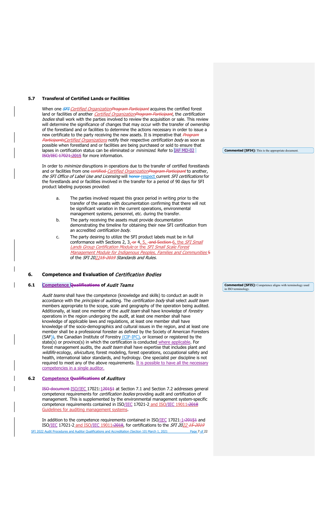# **5.7 Transferal of Certified Lands or Facilities**

When one *SFI-Certified Organization Program Participant* acquires the certified forest land or facilities of another *Certified OrganizationProgram Participant*, the certification bodies shall work with the parties involved to review the acquisition or sale. This review will determine the significance of changes that may occur with the transfer of ownership of the forestland and or facilities to determine the actions necessary in order to issue a new certificate to the party receiving the new assets. It is imperative that *Program* ParticipantsCertified Organizations notify their respective certification body as soon as possible when forestland and or facilities are being purchased or sold to ensure that lapses in certification status can be eliminated or *minimized*. Refer to **IAF MD-02** ISO/IEC 17021:2015 for more information.

In order to *minimize* disruptions in operations due to the transfer of certified forestlands and or facilities from one certified-Certified OrganizationProgram Participant to another, the SFI Office of Label Use and Licensing will honor respect current SFI certifications for the forestlands and or facilities involved in the transfer for a period of 90 days for SFI product labeling purposes provided:

- a. The parties involved request this grace period in writing prior to the transfer of the assets with documentation confirming that there will not be significant variation in the current operations, environmental management systems, personnel, etc. during the transfer.
- b. The party receiving the assets must provide documentation demonstrating the timeline for obtaining their new SFI certification from an accredited certification body.
- c. The party desiring to utilize the SFI product labels must be in full conformance with Sections 2,  $3.$ -or  $4.5$ , and Section 6, the SFI Small Lands Group Certification Module or the SFI Small Scale Forest Management Module for Indigenous Peoples, Families and Communities 5 of the SFI 202215-2019 Standards and Rules.

#### <span id="page-6-0"></span>**6. Competence and Evaluation of** Certification Bodies

# **6.1 Competence Qualifications of** Audit Teams

Audit teams shall have the competence (knowledge and skills) to conduct an audit in accordance with the principles of auditing. The certification body shall select audit team members appropriate to the scope, scale and geography of the operation being audited. Additionally, at least one member of the *audit team* shall have knowledge of forestry operations in the region undergoing the audit, at least one member shall have knowledge of applicable laws and regulations, at least one member shall have knowledge of the socio-demographics and cultural issues in the region, and at least one member shall be a professional forester as defined by the Society of American Foresters (SAF)), the Canadian Institute of Forestry (CIF-IFC), or licensed or registered by the state(s) or province(s) in which the certification is conducted where applicable. For forest management audits, the *audit team* shall have expertise that includes plant and wildlife ecology, silviculture, forest modeling, forest operations, occupational safety and health, international labor standards, and hydrology. One specialist per discipline is not required to meet any of the above requirements. It is possible to have all the necessary competencies in a single auditor.

#### **6.2 Competence Qualifications of** Auditors

ISO document ISO/IEC 17021:120151 at Section 7.1 and Section 7.2 addresses general competence requirements for certification bodies providing audit and certification of management. This is supplemented by the environmental management system-specific competence requirements contained in ISO/IEC 17021-2 and ISO/IEC 19011:2018 Guidelines for auditing management systems.

SFI 2022 Audit Procedures and Auditor Qualifications and Accreditation (Section 10) March 1, 2021 Page 7 of 22 In addition to the competence requirements contained in ISO/IEC 17021-1:20151 and ISO/IEC 17021-2 and ISO/IEC 19011:2018, for certifications to the SFI 2022 15-2019

**Commented [SFI5]:** Competence aligns with terminology used

in ISO terminology.

**Commented [SFI4]:** This is the appropriate document.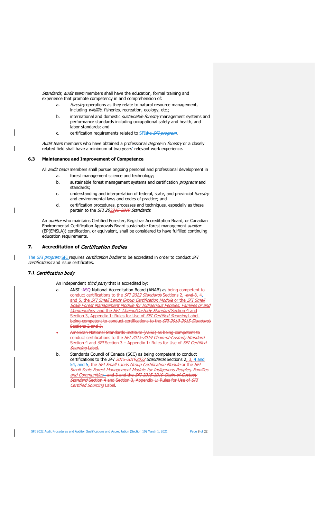Standards, audit team members shall have the education, formal training and experience that promote competency in and comprehension of:

- a. *forestry* operations as they relate to natural resource management, including wildlife, fisheries, recreation, ecology, etc.;
- b. international and domestic *sustainable forestry* management systems and performance standards including occupational safety and health, and labor standards; and
- c. certification requirements related to **SFIthe SFI program**.

Audit team members who have obtained a professional degree in forestry or a closely related field shall have a minimum of two years' relevant work experience.

# **6.3 Maintenance and Improvement of Competence**

All *audit team* members shall pursue ongoing personal and professional development in

- a. forest management science and technology;
- b. sustainable forest management systems and certification programs and standards;
- c. understanding and interpretation of federal, state, and provincial forestry and environmental laws and codes of practice; and
- d. certification procedures, processes and techniques, especially as these pertain to the SFI 202215 2019 Standards.

An auditor who maintains Certified Forester, Registrar Accreditation Board, or Canadian Environmental Certification Approvals Board sustainable forest management auditor (EP(EMSLA)) certification, or equivalent, shall be considered to have fulfilled continuing education requirements.

# <span id="page-7-0"></span>**7. Accreditation of** Certification Bodies

FI program SFI requires *certification bodies* to be accredited in order to conduct SFI certifications and issue certificates.

# **7.1** Certification body

An independent third party that is accredited by:

- a. ANSI\_-ASQ-National Accreditation Board (ANAB) as **being competent to** conduct certifications to the SFI 2022 Standards Sections 2, and 3, 4, and 5, the SFI Small Lands Group Certification Module or the SFI Small Scale Forest Management Module for Indigenous Peoples, Families or and Communities and the SFI ChainofCustody Standard Section 4 and Section 3, Appendix 1: Rules for Use of SFI Certified Sourcing Label. being competent to conduct certifications to the SFI 2010-2015 Standards Sections 2 and 3.
- American National Standards Institute (ANSI) as being competent to conduct certifications to the SFI 2015 2019 Chain of Custody Standard Section 4 and *SFI* Section 3 Appendix 1: Rules for Use of *SFI Certified* Sourcing Label.
- b. Standards Council of Canada (SCC) as being competent to conduct certifications to the SFI 2015-20192022 Standards Sections 2, 3, 4 and 54, and 5, the SFI Small Lands Group Certification Module or the SFI Small Scale Forest Management Module for Indigenous Peoples, Families and Communities and 3 and the SFI 2015 2019 Chain of Custody Standard Section 4 and Section 3, Appendix 1: Rules for Use of SFI Certified Sourcing Label.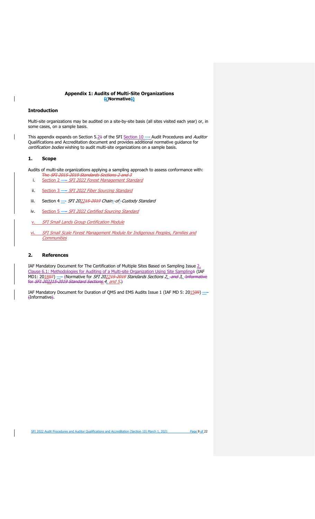# **Appendix 1: Audits of Multi-Site Organizations [(Normative])**

#### <span id="page-8-1"></span>**Introduction**

<span id="page-8-0"></span> $\overline{\phantom{a}}$ 

Multi-site organizations may be audited on a site-by-site basis (all sites visited each year) or, in some cases, on a sample basis.

This appendix expands on Section 5.21 of the SFI Section 10 -- Audit Procedures and Auditor Qualifications and Accreditation document and provides additional normative guidance for certification bodies wishing to audit multi-site organizations on a sample basis.

# <span id="page-8-2"></span>**1. Scope**

Audits of multi-site organizations applying a sampling approach to assess conformance with:

- The SFI 2015-2019 Standards Sections 2 and 3 i. Section 2 - SFI 2022 Forest Management Standard
- ii. Section 3 SFI 2022 Fiber Sourcing Standard
- iii. Section 4  $-$  SFI 202215-2019 Chain-of-Custody Standard
- iv. Section 5 -- SFI 2022 Certified Sourcing Standard
- v. SFI Small Lands Group Certification Module
- vi. SFI Small Scale Forest Management Module for Indigenous Peoples, Families and **Communities**

## <span id="page-8-3"></span>**2. References**

IAF Mandatory Document for The Certification of Multiple Sites Based on Sampling Issue 2, Clause 6.1: Methodologies for Auditing of a Multi-site Organization Using Site Sampling1 (IAF MD1: 20<u>18</u><del>07</del>) \_\_\_ {Normative for *SFI 20<u>2245-2019</u> Standards Sections 2<sub>\_</sub>\_and 3*,\_<del>Informative</del> for  $SFI$  202215 2019 Standard Sections  $\overline{4}$ , and  $\overline{5}$ )

IAF Mandatory Document for Duration of QMS and EMS Audits Issue 1 (IAF MD 5: 201509) -(Informative).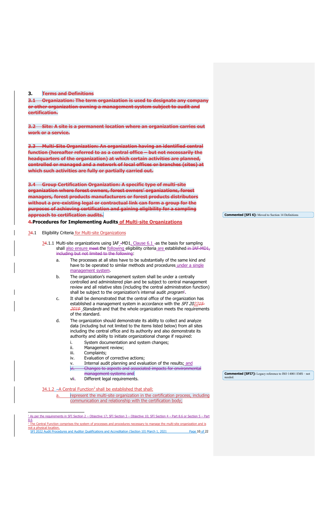# **3. Terms and Definitions**

**3.1 Organization: The term organization is used to designate any company or other organization owning a management system subject to audit and certification.**

**3.2 Site: A site is a permanent location where an organization carries out work or a service.**

**3.3 Multi-Site Organization: An organization having an identified central function (hereafter referred to as a central office – but not necessarily the headquarters of the organization) at which certain activities are planned, controlled or managed and a network of local offices or branches (sites) at which such activities are fully or partially carried out.**

**3.4 Group Certification Organization: A specific type of multi-site organization where forest owners, forest owners' organizations, forest managers, forest products manufacturers or forest products distributors without a pre-existing legal or contractual link can form a group for the purposes of achieving certification and gaining eligibility for a sampling approach to certification audits.**

# <span id="page-9-0"></span>**4.Procedures for Implementing Audits of Multi-site Organizations**

#### 34.1 Eligibility Criteria for Multi-site Organizations

- 34.1.1 Multi-site organizations using IAF\_-MD1, Clause 6.1 -as the basis for sampling shall also ensure meet the following eligibility criteria are established in IAF MD1, including but not limited to the following:
	- a. The processes at all sites have to be substantially of the same kind and have to be operated to similar methods and procedures under a single management system.
	- b. The organization's management system shall be under a centrally controlled and administered plan and be subject to central management review and all relative sites (including the central administration function) shall be subject to the organization's internal audit *program*<sup>[1](#page-9-1)</sup>.
	- c. It shall be demonstrated that the central office of the organization has established a management system in accordance with the SFI 20224. 2019 Standards and that the whole organization meets the requirements of the standard.
	- d. The organization should demonstrate its ability to collect and analyze data (including but not limited to the items listed below) from all sites including the central office and its authority and also demonstrate its authority and ability to initiate organizational change if required:
		- i. System documentation and system changes;<br>ii. Management review:
		- ii. Management review;<br>iii. Complaints:
		- iii. Complaints;<br>iv. Evaluation o
		- Evaluation of corrective actions;
		- v. Internal audit planning and evaluation of the results; and<br>vi. Changes to aspects and associated impacts for environment Changes to aspects and associated impacts for environmental management systems and
		- vii. Different legal requirements.

# 34.1.[2](#page-9-2) - A Central Function<sup>2</sup> shall be established that shall:

a. represent the multi-site organization in the certification process, including communication and relationship with the certification body;

<span id="page-9-2"></span><span id="page-9-1"></span>oca priysical location.<br>SFI 2022 Audit Procedures and Auditor Qualifications and Accreditation (Section 10) March 1, 2021 Page 10 of 22 <sup>1</sup> As per the requirements in SFI Section 2 – Objective 17; SFI Section 3 – Objective 10; SFI Section 4 – Part 8.6 or Section 5 – Part 8.6 <sup>2</sup> The Central Function comprises the system of processes and procedures necessary to manage the multi-site organization and is not a physical location.

**Commented [SFI7]:** Legacy reference to ISO 14001 EMS – not needed.

**Commented [SFI 6]:** Moved to Section 14 Definitions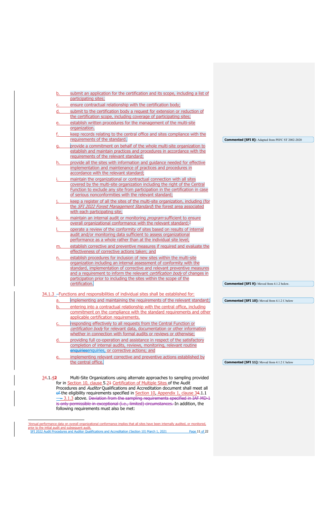| b.        | submit an application for the certification and its scope, including a list of                                                                  |                                                          |
|-----------|-------------------------------------------------------------------------------------------------------------------------------------------------|----------------------------------------------------------|
|           | participating sites;                                                                                                                            |                                                          |
| c.        | ensure contractual relationship with the certification body;                                                                                    |                                                          |
| d.        | submit to the certification body a request for extension or reduction of                                                                        |                                                          |
|           | the certification scope, including coverage of participating sites;                                                                             |                                                          |
| e.        | establish written procedures for the management of the multi-site                                                                               |                                                          |
|           | organization.                                                                                                                                   |                                                          |
|           | keep records relating to the central office and sites compliance with the                                                                       |                                                          |
|           | requirements of the standard.                                                                                                                   | <b>Commented [SFI 8]:</b> Adapted from PEFC ST 2002-2020 |
| <u>g.</u> | provide a commitment on behalf of the whole multi-site organization to                                                                          |                                                          |
|           | establish and maintain practices and procedures in accordance with the                                                                          |                                                          |
|           | requirements of the relevant standard;                                                                                                          |                                                          |
| h.        | provide all the sites with information and guidance needed for effective                                                                        |                                                          |
|           | implementation and maintenance of practices and procedures in                                                                                   |                                                          |
|           | accordance with the relevant standard;                                                                                                          |                                                          |
|           | maintain the organizational or contractual connection with all sites                                                                            |                                                          |
|           | covered by the multi-site organization including the right of the Central                                                                       |                                                          |
|           | Function to exclude any site from participation in the certification in case                                                                    |                                                          |
|           | of serious nonconformities with the relevant standard;                                                                                          |                                                          |
|           | keep a register of all the sites of the multi-site organization, including (for                                                                 |                                                          |
|           | the SFI 2022 Forest Management Standard) the forest area associated                                                                             |                                                          |
|           | with each participating site;                                                                                                                   |                                                          |
| k.        | maintain an internal audit or monitoring program sufficient to ensure                                                                           |                                                          |
|           | overall organizational conformance with the relevant standard; <sup>3</sup>                                                                     |                                                          |
|           | operate a review of the conformity of sites based on results of internal                                                                        |                                                          |
|           | audit and/or monitoring data sufficient to assess organizational                                                                                |                                                          |
|           | performance as a whole rather than at the individual site level;                                                                                |                                                          |
| m.        | establish corrective and preventive measures if required and evaluate the                                                                       |                                                          |
|           | effectiveness of corrective actions taken; and                                                                                                  |                                                          |
| n.        | establish procedures for inclusion of new sites within the multi-site                                                                           |                                                          |
|           | organization including an internal assessment of conformity with the<br>standard, implementation of corrective and relevant preventive measures |                                                          |
|           | and a requirement to inform the relevant certification body of changes in                                                                       |                                                          |
|           | participation prior to including the sites within the scope of the                                                                              |                                                          |
|           | certification.                                                                                                                                  | <b>Commented [SFI 9]:</b> Moved from 4.1.2 below.        |
|           |                                                                                                                                                 |                                                          |
|           | 34.1.3 - Functions and responsibilities of individual sites shall be established for:                                                           |                                                          |
| a.        | implementing and maintaining the requirements of the relevant standard;                                                                         | <b>Commented [SFI 10]:</b> Moved from 4.1.2 f. below     |
| b.        | entering into a contractual relationship with the central office, including                                                                     |                                                          |
|           | commitment on the compliance with the standard requirements and other                                                                           |                                                          |
|           | applicable certification requirements.                                                                                                          |                                                          |
| <u>c.</u> | responding effectively to all requests from the Central Function or                                                                             |                                                          |
|           | certification body for relevant data, documentation or other information                                                                        |                                                          |
|           | whether in connection with formal audits or reviews or otherwise;                                                                               |                                                          |
| d.        | providing full co-operation and assistance in respect of the satisfactory                                                                       |                                                          |
|           | completion of internal audits, reviews, monitoring, relevant routine                                                                            |                                                          |
|           | enquiriesenquiries, or corrective actions; and                                                                                                  |                                                          |
| <u>e.</u> | implementing relevant corrective and preventive actions established by                                                                          |                                                          |
|           | the central office.                                                                                                                             | <b>Commented [SFI 11]:</b> Moved from 4.1.2 f. below     |
|           |                                                                                                                                                 |                                                          |
|           |                                                                                                                                                 |                                                          |
| 34.1.42   | Multi-Site Organizations using alternate approaches to sampling provided                                                                        |                                                          |
|           | for in Section 10, clause 5.24 Certification of Multiple Sites of the Audit                                                                     |                                                          |
|           | Procedures and Auditor Qualifications and Accreditation document shall meet all                                                                 |                                                          |
|           | of the eligibility requirements specified in Section 10, Appendix 1, clause 34.1.1                                                              |                                                          |

<span id="page-10-0"></span>SFI 2022 Audit Procedures and Auditor Qualifications and Accreditation (Section 10) March 1, 2021 Page 11 of 22 <sup>3</sup>Annual performance data on overall organizational conformance implies that all sites have been internally audited, or monitored<u>,</u><br>prior to the initial audit and subsequent audit.

following requirements must also be met:

 $-\!\!\!-\!\!\!3.1.3$  above. <del>Deviation from the sampling requirements specified in IAF MD 1</del> is only permissible in exceptional (i.e., limited) circumstances. In addition, the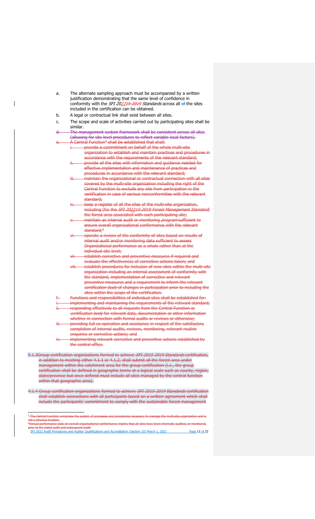| a.                                                                                                                                                                                      | The alternate sampling approach must be accompanied by a written<br>justification demonstrating that the same level of confidence in<br>conformity with the SFI 202245-2019 Standards across all of the sites<br>included in the certification can be obtained. |  |  |  |
|-----------------------------------------------------------------------------------------------------------------------------------------------------------------------------------------|-----------------------------------------------------------------------------------------------------------------------------------------------------------------------------------------------------------------------------------------------------------------|--|--|--|
| b.                                                                                                                                                                                      | A legal or contractual link shall exist between all sites.                                                                                                                                                                                                      |  |  |  |
| c.                                                                                                                                                                                      | The scope and scale of activities carried out by participating sites shall be<br>similar.                                                                                                                                                                       |  |  |  |
| <del>d. —</del>                                                                                                                                                                         | The management system framework shall be consistent across all sites                                                                                                                                                                                            |  |  |  |
| e.                                                                                                                                                                                      | (allowing for site level procedures to reflect variable local factors).<br>A Central Function <sup>4</sup> shall be established that shall:                                                                                                                     |  |  |  |
|                                                                                                                                                                                         | i. provide a commitment on behalf of the whole multi-site                                                                                                                                                                                                       |  |  |  |
|                                                                                                                                                                                         | organization to establish and maintain practices and procedures in<br>accordance with the requirements of the relevant standard;                                                                                                                                |  |  |  |
|                                                                                                                                                                                         | provide all the sites with information and guidance needed for<br>╫╌<br>effective implementation and maintenance of practices and                                                                                                                               |  |  |  |
|                                                                                                                                                                                         | procedures in accordance with the relevant standard;                                                                                                                                                                                                            |  |  |  |
|                                                                                                                                                                                         | maintain the organizational or contractual connection with all sites<br>₩−<br>covered by the multi-site organization including the right of the                                                                                                                 |  |  |  |
|                                                                                                                                                                                         | Central Function to exclude any site from participation in the<br>certification in case of serious nonconformities with the relevant<br>standard:                                                                                                               |  |  |  |
|                                                                                                                                                                                         | iv. keep a register of all the sites of the multi-site organization,<br>including (for the SFI 202215 2019 Forest Management Standard)<br>the forest area associated with each participating site;                                                              |  |  |  |
|                                                                                                                                                                                         | maintain an internal audit or monitoring <i>program</i> sufficient to<br>₩.                                                                                                                                                                                     |  |  |  |
|                                                                                                                                                                                         | ensure overall organizational conformance with the relevant<br>standard; <sup>5</sup>                                                                                                                                                                           |  |  |  |
|                                                                                                                                                                                         | operate a review of the conformity of sites based on results of<br><del>vi.</del>                                                                                                                                                                               |  |  |  |
|                                                                                                                                                                                         | internal audit and/or monitoring data sufficient to assess<br>Organizational performance as a whole rather than at the                                                                                                                                          |  |  |  |
|                                                                                                                                                                                         | individual site level;                                                                                                                                                                                                                                          |  |  |  |
|                                                                                                                                                                                         | establish corrective and preventive measures if required and<br><del>∨ii.−</del>                                                                                                                                                                                |  |  |  |
|                                                                                                                                                                                         | evaluate the effectiveness of corrective actions taken; and                                                                                                                                                                                                     |  |  |  |
|                                                                                                                                                                                         | establish procedures for inclusion of new sites within the multi site<br><del>∨iii.−</del><br>organization including an internal assessment of conformity with                                                                                                  |  |  |  |
|                                                                                                                                                                                         | the standard, implementation of corrective and relevant                                                                                                                                                                                                         |  |  |  |
|                                                                                                                                                                                         | preventive measures and a requirement to inform the relevant<br>certification body of changes in participation prior to including the                                                                                                                           |  |  |  |
|                                                                                                                                                                                         | sites within the scope of the certification.                                                                                                                                                                                                                    |  |  |  |
| f÷                                                                                                                                                                                      | Functions and responsibilities of individual sites shall be established for:                                                                                                                                                                                    |  |  |  |
| i.                                                                                                                                                                                      | implementing and maintaining the requirements of the relevant standard;                                                                                                                                                                                         |  |  |  |
| ₩                                                                                                                                                                                       | responding effectively to all requests from the Central Function or<br>certification body for relevant data, documentation or other information<br>whether in connection with formal audits or reviews or otherwise:                                            |  |  |  |
|                                                                                                                                                                                         | providing full co operation and assistance in respect of the satisfactory<br>completion of internal audits, reviews, monitoring, relevant routine                                                                                                               |  |  |  |
| iv. —                                                                                                                                                                                   | enquiries or corrective actions; and<br>implementing relevant corrective and preventive actions established by<br>the central office.                                                                                                                           |  |  |  |
|                                                                                                                                                                                         | 4.1.3Group certification organizations formed to achieve SFI 2015-2019 Standards certification,                                                                                                                                                                 |  |  |  |
|                                                                                                                                                                                         | in addition to meeting either 4.1.1 or 4.1.2, shall submit all the forest area under                                                                                                                                                                            |  |  |  |
| management within the catchment area for the group certification (i.e., the group                                                                                                       |                                                                                                                                                                                                                                                                 |  |  |  |
| certification shall be defined in geographic terms at a logical scale such as county, region,<br>state/province but once defined must include all sites managed by the central function |                                                                                                                                                                                                                                                                 |  |  |  |
| within that geographic area).                                                                                                                                                           |                                                                                                                                                                                                                                                                 |  |  |  |

 $\overline{\mathbf{I}}$ 

4.1.4 Group certification organizations formed to achieve SFI 2015 2019 Standards certification shall establish connections with all participants based on a written agreement which shall include the participants' commitment to comply with the sustainable forest management

<span id="page-11-1"></span><span id="page-11-0"></span>

| <sup>4</sup> -The Central Function comprises the system of processes and procedures necessary to manage the multi-site organization and is    |               |
|-----------------------------------------------------------------------------------------------------------------------------------------------|---------------|
| not a physical location.                                                                                                                      |               |
| <sup>5</sup> Annual performance data on overall organizational conformance implies that all sites have been internally audited, or monitored, |               |
| prior to the initial audit and subsequent audit.                                                                                              |               |
| SFI 2022 Audit Procedures and Auditor Qualifications and Accreditation (Section 10) March 1, 2021                                             | Page 12 of 22 |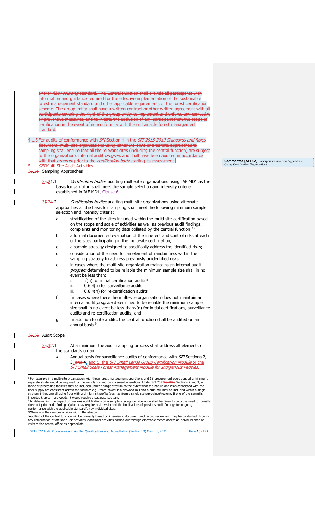and/or *fiber sourcing* standard. The Central Function shall provide all participants with information and guidance required for the effective implementation of the sustainable forest management standard and other applicable requirements of the forest certification scheme. The group entity shall have a written contract or other written agreement with all participants covering the right of the group entity to implement and enforce any corrective or preventive measures, and to initiate the exclusion of any participant from the scope of certification in the event of nonconformity with the sustainable forest management standard.

4.1.5 For audits of conformance with SFI Section 4 in the SFI 2015 2019 Standards and Rules document, multi-site organizations using either IAF-MD1 or alternate approaches to sampling shall ensure that all the relevant sites (including the central function) are subject to the organization's internal audit *program* and shall have been audited in accordance with that *program* prior to the *certification body* starting its assessment. **FI Multi Site Audit Activities** 

# 35.21 Sampling Approaches

- 35.21.1 Certification bodies auditing multi-site organizations using IAF MD1 as the basis for sampling shall meet the sample selection and intensity criteria established in IAF MD1, Clause 6.1.
- 35.21.2 Certification bodies auditing multi-site organizations using alternate approaches as the basis for sampling shall meet the following minimum sample selection and intensity criteria:
	- a. stratification of the sites included within the multi-site certification based on the scope and scale of activities as well as previous audit findings, complaints and monitoring data collated by the central function; $67$  $67$
	- b. a formal documented evaluation of the inherent and control risks at each of the sites participating in the multi-site certification;
	- c. a sample strategy designed to specifically address the identified risks; d. consideration of the need for an element of randomness within the
	- sampling strategy to address previously unidentified risks;
	- e. in cases where the multi-site organization maintains an internal audit program determined to be reliable the minimum sample size shall in no event be less than:
		- i.  $\sqrt{(n)}$  for initial certification audits<sup>8</sup>
		- ii. 0.6  $\sqrt{(n)}$  for surveillance audits
		- iii. 0.8  $\sqrt{(n)}$  for re-certification audits
	- f. In cases where there the multi-site organization does not maintain an internal audit *program* determined to be reliable the minimum sample size shall in no event be less than√(n) for initial certifications, surveillance audits and re-certification audits; and
	- g. In addition to site audits, the central function shall be audited on an annual basis.<sup>[9](#page-12-3)</sup>

#### 35.32 Audit Scope

- $\frac{35.32.1}{1}$  At a minimum the audit sampling process shall address all elements of the standards on an:
	- Annual basis for surveillance audits of conformance with *SFI* Sections 2. 3<sub>L</sub> and 4, and 5, the *SFI Small Lands Group Certification Module* or the SFI Small Scale Forest Management Module for Indigenous Peoples,

<sup>6</sup> For example in a multi-site organization with three forest management operations and 15 procurement operations at a minimum, separate strata would be required for the woodlands and procurement operations Under SFI 2022

conformance with the applicable standard(s) by individual sites.<br><sup>8</sup>Where n = the number of sites within the stratum.

<span id="page-12-0"></span><sup>9</sup>Auditing of the central function will be primarily based on interviews, document and record review and may be conducted through<br>any combination of off-site audit activities, additional activities carried out through ele

<span id="page-12-3"></span><span id="page-12-2"></span><span id="page-12-1"></span>SFI 2022 Audit Procedures and Auditor Qualifications and Accreditation (Section 10) March 1, 2021 Page 13 of 22

**Commented [SFI 12]:** Incorporated into new Appendix 2 – Group Certifi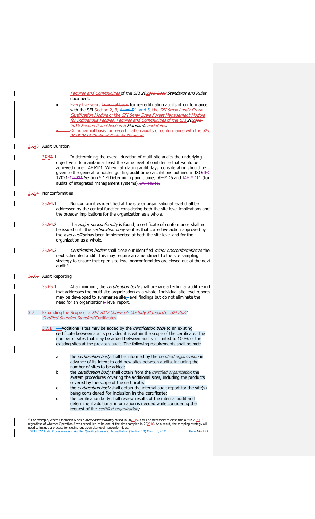Families and Communities of the SFI 202245-2019 Standards and Rules document.

Every five years Triennial basis for re-certification audits of conformance with the SFI Section 2, 3, 4 and 54, and 5, the SFI Small Lands Group Certification Module or the SFI Small Scale Forest Management Module for Indigenous Peoples, Families and Communities of the SFI 202245-2019 Section 2 and Section 3 Standards and Rules.

Quinquennial basis for re-certification audits of conformance with the SFI 2015-2019 Chain-of-Custody Standard.

# 35.43 Audit Duration

 $\frac{35.43.1}{10.1}$  In determining the overall duration of multi-site audits the underlying objective is to maintain at least the same level of confidence that would be achieved under IAF MD1. When calculating audit days, consideration should be given to the general principles guiding audit time calculations outlined in ISO/IEC 17021-1:2011 Section 9.1.4 Determining audit time, IAF-MD5 and IAF MD11 (for audits of integrated management systems). IAF MD11.

### 35.54 Nonconformities

- $35.54.1$  Nonconformities identified at the site or organizational level shall be addressed by the central function considering both the site level implications and the broader implications for the organization as a whole.
- 35.54.2 If a *major nonconformity* is found, a certificate of conformance shall not be issued until the *certification body* verifies that corrective action approved by the lead auditor has been implemented at both the site level and for the organization as a whole.
- 35.54.3 Certification bodies shall close out identified minor nonconformities at the next scheduled audit. This may require an amendment to the site sampling strategy to ensure that open site-level nonconformities are closed out at the next audit. $^{\rm 10}$

#### 35.65 Audit Reporting

35.65.1 At a minimum, the *certification body* shall prepare a technical audit report that addresses the multi-site organization as a whole. Individual site level reports may be developed to summarize site-level findings but do not eliminate the need for an organizational level report.

3.7 Expanding the Scope of a SFI 2022 Chain-of-Custody Standard or SFI 2022 Certified Sourcing Standard Certificates

- $3.7.1$   $-$ Additional sites may be added by the *certification body* to an existing certificate between audits provided it is within the scope of the certificate. The number of sites that may be added between audits is limited to 100% of the existing sites at the previous audit. The following requirements shall be met:
	- a. the certification body shall be informed by the certified organization in advance of its intent to add new sites between audits, including the number of sites to be added;
	- b. the *certification body* shall obtain from the *certified organization* the system procedures covering the additional sites, including the products covered by the scope of the certificate;
	- c. the *certification body* shall obtain the internal audit report for the site(s) being considered for inclusion in the certificate;
	- d. the certification body shall review results of the internal audit and determine if additional information is needed while considering the request of the *certified organization;*

<span id="page-13-0"></span>eed to metade a process for closing out open site-rever noncomormities.<br>SFI 2022 Audit Procedures and Auditor Qualifications and Accreditation (Section 10) March 1, 2021 Page 14 of 22 <sup>10</sup> For example, where Operation A has a *minor nonconformity* raised in 20<u>22<del>1</del>5,</u> it will be necessary to close this out in 20<u>23<del>16</del></u><br>regardless of whether Operation A was scheduled to be one of the sites sampled in 2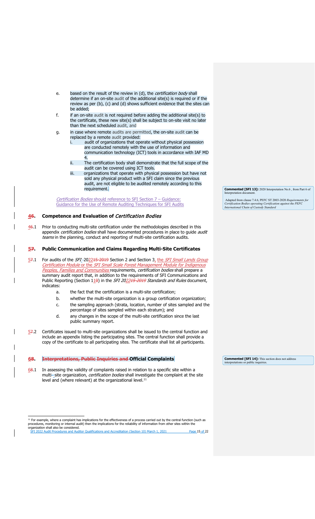- e. based on the result of the review in (d), the *certification body* shall determine if an on-site audit of the additional site(s) is required or if the review as per (b), (c) and (d) shows sufficient evidence that the sites can be added;
- f. if an on-site audit is not required before adding the additional site(s) to the certificate, these new site(s) shall be subject to on-site visit no later than the next scheduled audit, and
- g. in case where remote audits are permitted, the on-site audit can be replaced by a remote audit provided:
	- i. audit of organizations that operate without physical possession are conducted remotely with the use of information and communication technology (ICT) tools in accordance with IAF MD 4.
	- ii. The certification body shall demonstrate that the full scope of the audit can be covered using ICT tools.
	- iii. organizations that operate with physical possession but have not sold any physical product with a SFI claim since the previous audit, are not eligible to be audited remotely according to this requirement.

Certification Bodies should reference to SFI Section 7 – Guidance: Guidance for the Use of Remote Auditing Techniques for SFI Audits

# <span id="page-14-0"></span>**46. Competence and Evaluation of** Certification Bodies

46.1 Prior to conducting multi-site certification under the methodologies described in this appendix certification bodies shall have documented procedures in place to guide audit teams in the planning, conduct and reporting of multi-site certification audits.

# <span id="page-14-1"></span>**57. Public Communication and Claims Regarding Multi-Site Certificates**

- 57.1 For audits of the SFI-202215-2019 Section 2 and Section 3, the SFI Small Lands Group Certification Module or the SFI Small Scale Forest Management Module for Indigenous Peoples, Families and Communities requirements, certification bodies shall prepare a summary audit report that, in addition to the requirements of SFI Communications and Public Reporting (Section  $11\theta$ ) in the SFI 202215-2019 Standards and Rules document, indicates:
	- a. the fact that the certification is a multi-site certification;
	- b. whether the multi-site organization is a group certification organization;
	- c. the sampling approach (strata, location, number of sites sampled and the percentage of sites sampled within each stratum); and
	- d. any changes in the scope of the multi-site certification since the last public summary report.
- $57.2$  Certificates issued to multi-site organizations shall be issued to the central function and include an appendix listing the participating sites. The central function shall provide a copy of the certificate to all participating sites. The certificate shall list all participants.

# <span id="page-14-2"></span>**68. Interpretations, Public Inquiries and Official Complaints**

68.1 In assessing the validity of complaints raised in relation to a specific site within a multi-site organization, certification bodies shall investigate the complaint at the site level and (where relevant) at the organizational level.<sup>[11](#page-14-3)</sup>

**Commented [SFI 13]:** 2020 Interpretation No.6 , from Part 6 of Interpretation document.

Adapted from clause 7.4.6, PEFC ST 2003-2020 *Requirements for Certification Bodies operating Certification against the PEFC International Chain of Custody Standard*

**Commented [SFI 14]:** This section does not address interpretations or public inquiries.

<span id="page-14-3"></span>SFI 2022 Audit Procedures and Auditor Qualifications and Accreditation (Section 10) March 1, 2021 Page 15 of 22 <sup>11</sup> For example, where a complaint has implications for the effectiveness of a process carried out by the central function (such as<br>procedures, monitoring or internal audit) then the implications for the reliability of in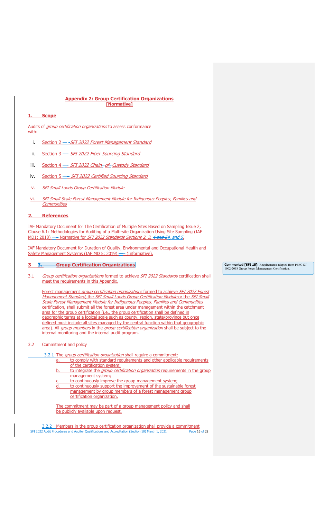# **Appendix 2: Group Certification Organizations [Normative]**

# <span id="page-15-1"></span><span id="page-15-0"></span>**1. Scope**

Audits of *group certification organizations* to assess conformance with:

- i. Section 2 - SFI 2022 Forest Management Standard
- ii. Section 3 SFI 2022 Fiber Sourcing Standard
- iii. Section 4 SFI 2022 Chain-of-Custody Standard
- iv. Section 5 -- SFI 2022 Certified Sourcing Standard
- v. SFI Small Lands Group Certification Module
- vi. SFI Small Scale Forest Management Module for Indigenous Peoples, Families and **Communities**

# <span id="page-15-2"></span>**2. References**

IAF Mandatory Document for The Certification of Multiple Sites Based on Sampling Issue 2, Clause 6.1: Methodologies for Auditing of a Multi-site Organization Using Site Sampling (IAF MD1: 2018) — Normative for SFI 2022 Standards Sections 2, 3, 4 and 54, and 5.

IAF Mandatory Document for Duration of Quality, Environmental and Occupational Health and Safety Management Systems (IAF MD 5: 2019) - (Informative).

# <span id="page-15-3"></span>**3 3. Group Certification Organizations**

3.1 Group certification organizations formed to achieve SFI 2022 Standards certification shall meet the requirements in this Appendix.

Forest management group certification organizations formed to achieve SFI 2022 Forest Management Standard, the SFI Small Lands Group Certification Module or the SFI Small Scale Forest Management Module for Indigenous Peoples, Families and Communities certification, shall submit all the forest area under management within the catchment area for the group certification (i.e., the group certification shall be defined in geographic terms at a logical scale such as county, region, state/province but once defined must include all sites managed by the central function within that geographic area). All group members in the group certification organization shall be subject to the internal monitoring and the internal audit program.

#### 3.2 Commitment and policy

3.2.1 The group certification organization shall require a commitment:

- a. to comply with standard requirements and other applicable requirements of the certification system;
	- b. to integrate the *group certification organization* requirements in the group management system;
	- to continuously improve the group management system; to continuously support the improvement of the sustainable forest management by group members of a forest management group certification organization.

The commitment may be part of a group management policy and shall be publicly available upon request.

SFI 2022 Audit Procedures and Auditor Qualifications and Accreditation (Section 10) March 1, 2021 Page 16 of 22 3.2.2 Members in the group certification organization shall provide a commitment

**Commented [SFI 15]:** Requirements adapted from PEFC ST 1002-2018 Group Forest Management Certification.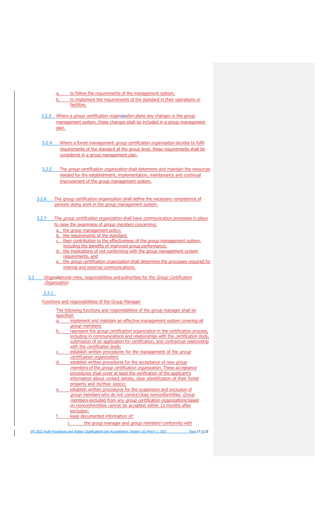a. to follow the requirements of the management system;

- b. to implement the requirements of the standard in their operations or facilities.
- 3.2.3 Where a *group certification organizsation* plans any changes in the group management system, these changes shall be included in a group management plan.
- 3.2.4 Where a forest management group certification organisation decides to fulfil requirements of the standard at the group level, these requirements shall be considered in a group management plan.
- 3.2.5 The group certification organization shall determine and maintain the resources needed for the establishment, implementation, maintenance and continual improvement of the group management system.
- 3.2.6 The group certification organization shall define the necessary competence of persons doing work in the group management system.

# 3.2.7 The group certification organization shall have communication processes in place to raise the awareness of group members concerning:

- a. the group management policy;
- b. the requirements of the standard;
- c. their contribution to the effectiveness of the group management system, including the benefits of improved group performance;
- d. the implications of not conforming with the group management system requirements, and
- the group certification organization shall determine the processes required for internal and external communications.
- 3.3 Organizational roles, responsibilities and authorities for the Group Certification **Organization**

3.3.1

Functions and responsibilities of the Group Manager

#### The following functions and responsibilities of the group manager shall be specified:

- implement and maintain an effective management system covering all group members.
- represent the group certification organization in the certification process, including in communications and relationships with the *certification body*, submission of an application for certification, and contractual relationship with the *certification body*;
- establish written procedures for the management of the group certification organization;
- d. establish written procedures for the acceptance of new group members of the group certification organization. These acceptance procedures shall cover at least the verification of the applicant's information about contact details, clear identification of their forest property and its/their size(s);
- establish written procedures for the suspension and exclusion of group members who do not correct/close nonconformities. Group members excluded from any group certification organizations based on nonconformities cannot be accepted within 12 months after exclusion;
- keep documented information of:
	- i. the group manager and group members' conformity with

SFI 2022 Audit Procedures and Auditor Qualifications and Accreditation (Section 10) March 1, 2021 Page 17 of 22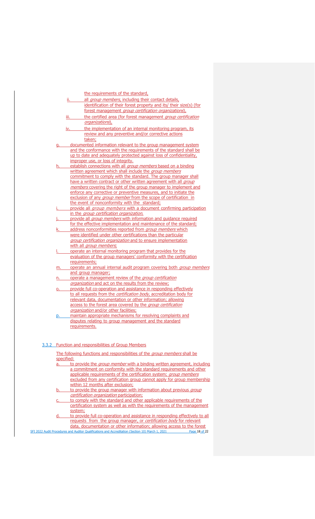|           |               | the requirements of the standard,                                                                                      |
|-----------|---------------|------------------------------------------------------------------------------------------------------------------------|
|           | ii. –         | all <i>group members</i> , including their contact details,                                                            |
|           |               | identification of their forest property and its/ their size(s) (for                                                    |
|           |               | forest management group certification organizations),                                                                  |
|           | iii.          | the certified area (for forest management group certification                                                          |
|           |               | organizations),                                                                                                        |
|           | iv.           | the implementation of an internal monitoring program, its                                                              |
|           |               | review and any preventive and/or corrective actions                                                                    |
|           |               | taken:                                                                                                                 |
| q.        |               | documented information relevant to the group management system                                                         |
|           |               | and the conformance with the requirements of the standard shall be                                                     |
|           |               | up to date and adequately protected against loss of confidentiality,                                                   |
|           |               | improper use, or loss of integrity.                                                                                    |
| h.        |               | establish connections with all <i>group members</i> based on a binding                                                 |
|           |               | written agreement which shall include the group members                                                                |
|           |               | commitment to comply with the standard. The group manager shall                                                        |
|           |               | have a written contract or other written agreement with all <i>group</i>                                               |
|           |               | members covering the right of the group manager to implement and                                                       |
|           |               | enforce any corrective or preventive measures, and to initiate the                                                     |
|           |               | exclusion of any <i>group member</i> from the scope of certification in                                                |
|           |               | the event of nonconformity with the standard;                                                                          |
|           |               | provide all <i>group members</i> with a document confirming participation                                              |
|           |               | in the group certification organization.                                                                               |
|           |               | provide all <i>group members</i> with information and quidance required                                                |
|           |               | for the effective implementation and maintenance of the standard;                                                      |
| ĸ.        |               | address nonconformities reported from <i>group members</i> which                                                       |
|           |               | were identified under other certifications than the particular                                                         |
|           |               | group certification organization and to ensure implementation                                                          |
|           |               | with all group members,                                                                                                |
|           |               | operate an internal monitoring program that provides for the                                                           |
|           |               | evaluation of the group managers' conformity with the certification                                                    |
|           | requirements; |                                                                                                                        |
| <u>m.</u> |               | operate an annual internal audit program covering both group members                                                   |
|           |               | and group manager;                                                                                                     |
| n.        |               | operate a management review of the group certification                                                                 |
|           |               | <i>organization</i> and act on the results from the review;                                                            |
| o.        |               | provide full co-operation and assistance in responding effectively                                                     |
|           |               | to all requests from the certification body, accreditation body for                                                    |
|           |               | relevant data, documentation or other information; allowing                                                            |
|           |               | access to the forest area covered by the group certification                                                           |
|           |               | organization and/or other facilities;                                                                                  |
|           |               | maintain appropriate mechanisms for resolving complaints and<br>disputes relating to group management and the standard |
|           |               |                                                                                                                        |
|           | requirements. |                                                                                                                        |

# 3.3.2 Function and responsibilities of Group Members

The following functions and responsibilities of the group members shall be specified:

- a. to provide the *group member* with a binding written agreement, including a commitment on conformity with the standard requirements and other applicable requirements of the certification system; *group members* excluded from any certification group cannot apply for group membership within 12 months after exclusion;
- b. to provide the group manager with information about previous group certification organization participation;
- c. to comply with the standard and other applicable requirements of the certification system as well as with the requirements of the management system;
- d. to provide full co-operation and assistance in responding effectively to all requests from the group manager, or *certification body* for relevant data, documentation or other information; allowing access to the forest

SFI 2022 Audit Procedures and Auditor Qualifications and Accreditation (Section 10) March 1, 2021 Page 18 of 22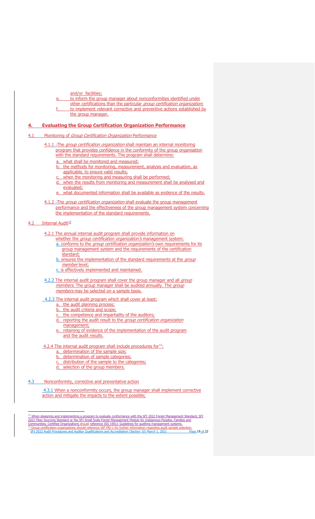- and/or facilities;
- to inform the group manager about nonconformities identified under
- other certifications than the particular group certification organization; to implement relevant corrective and preventive actions established by the group manager.

# <span id="page-18-0"></span>**4. Evaluating the Group Certification Organization Performance**

# 4.1 Monitoring of Group Certification Organization Performance

- 4.1.1 -The group certification organization shall maintain an internal monitoring program that provides confidence in the conformity of the group organisation with the standard requirements. The program shall determine:
	- a. what shall be monitored and measured;
	- b. the methods for monitoring, measurement, analysis and evaluation, as applicable, to ensure valid results;
	- when the monitoring and measuring shall be performed;
	- d. when the results from monitoring and measurement shall be analysed and evaluated;
	- what documented information shall be available as evidence of the results.
- 4.1.2 -The group certification organization shall evaluate the group management performance and the effectiveness of the group management system concerning the implementation of the standard requirements.

#### 4.2 Internal Audit<sup>[12](#page-18-1)</sup>

4.2.1 The annual internal audit program shall provide information on

- whether the *group certification organization's* management system: a. conforms to the *group certification organization's* own requirements for its
- group management system and the requirements of the certification standard;
- b. ensures the implementation of the standard requirements at the group member level;
- c. is effectively implemented and maintained.
- 4.2.2 The internal audit program shall cover the group manager and all group members. The group manager shall be audited annually. The group members may be selected on a sample basis.
- 4.2.3 The internal audit program which shall cover at least:
	- a. the audit planning process;
	- b. the audit criteria and scope;
	- c. the competence and impartiality of the auditors;
	- d. reporting the audit result to the group certification organization management;
	- e. retaining of evidence of the implementation of the audit program and the audit results.

# 4.2.4 The internal audit program shall include procedures for  $13$ :

- a. determination of the sample size;
- b. determination of sample categories;
- c. distribution of the sample to the categories;
- d. selection of the group members.

4.3 Nonconformity, corrective and preventative action

4.3.1 When a nonconformity occurs, the group manager shall implement corrective action and mitigate the impacts to the extent possible;

<span id="page-18-2"></span><span id="page-18-1"></span>SFI 2022 Audit Procedures and Auditor Qualifications and Accreditation (Section 10) March 1, 2021 Page 19 of 22 <sup>12</sup> When designing and implementing a program to evaluate conformance with the SFI 2022 Forest Management Standard, SFI<br>2022 Fiber Sourcing Standard or the SFI Small Scale Forest Management Module for Indigenous Peoples,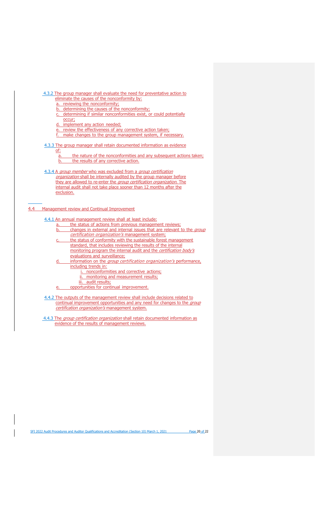4.3.2 The group manager shall evaluate the need for preventative action to eliminate the causes of the nonconformity by:

- a. reviewing the nonconformity;
- b. determining the causes of the nonconformity;
- c. determining if similar nonconformities exist, or could potentially occur;
- d. implement any action needed;
- e. review the effectiveness of any corrective action taken;
- f. make changes to the group management system, if necessary.

# 4.3.3 The group manager shall retain documented information as evidence

of:

- a. the nature of the nonconformities and any subsequent actions taken; b. the results of any corrective action.
- 4.3.4 A group member who was excluded from a group certification organization shall be internally audited by the group manager before they are allowed to re-enter the *group certification organization*. The internal audit shall not take place sooner than 12 months after the exclusion.

### 4.4 Management review and Continual Improvement

### 4.4.1 An annual management review shall at least include:

- a. the status of actions from previous management reviews; b. changes in external and internal issues that are relevant to the group
- certification organization's management system; the status of conformity with the sustainable forest management standard, that includes reviewing the results of the internal monitoring program the internal audit and the certification body's evaluations and surveillance;
- d. information on the group certification organization's performance, including trends in:
	- i. nonconformities and corrective actions;
	- ii. monitoring and measurement results;
	- iii. audit results;
- e. opportunities for continual improvement.
- 4.4.2 The outputs of the management review shall include decisions related to continual improvement opportunities and any need for changes to the group certification organization's management system.
- 4.4.3 The group certification organization shall retain documented information as evidence of the results of management reviews.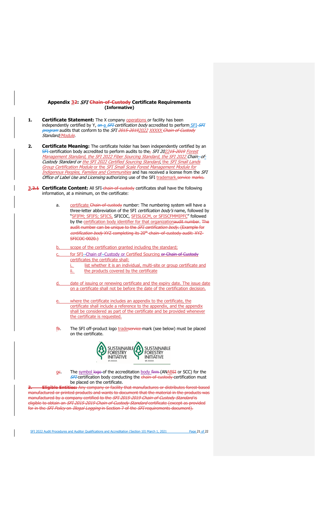### **Appendix 32:** SFI **Chain-of-Custody Certificate Requirements (Informative)**

- <span id="page-20-0"></span>**1.** Certificate Statement: The X company **operations** or facility has been independently certified by Y, an a SFI certification body accredited to perform SFI SFI program audits that conform to the SFI 2015 20192022 XXXXX Chain of Custody Standard/Module
- 2. Certificate Meaning: The certificate holder has been independently certified by an SFI certification body accredited to perform audits to the<sub>7</sub> SFI 202245-2019 Forest Management Standard, the SFI 2022 Fiber Sourcing Standard, the SFI 2022 Chain- of-Custody Standard or <u>the SFI 2022 Certified Sourcing Standard, the SFI Small Lands</u> Group Certification Module or the SFI Small Scale Forest Management Module for Indigenous Peoples, Families and Communities and has received a license from the SFI Office of Label Use and Licensing authorizing use of the SFI trademark.service marks.
- **3.2.1 Certificate Content:** All SFI-chain-of-custody certificates shall have the following information, at a minimum, on the certificate:
	- a. certificate Chain-of-custody number: The numbering system will have a three-letter abbreviation of the SFI certification body's name, followed by "SFIFM; SFIFS; SFICS, SFICOC, SFISLGCM, or SFISCFMMIPFC" followed by the certification body identifier for that organizationaudit number. The audit number can be unique to the SFI certification body. (Example for certification body XYZ completing its 20<sup>th</sup> chain–of-custody audit: XYZ-**SFICOC-0020.)**
	- scope of the certification granted including the standard;
	- for SFI--Chain of--Custody or Certified Sourcing or Chain of Custody certificates the certificate shall:
		- i. list whether it is an individual, multi-site or group certificate and ii. the products covered by the certificate
	- date of issuing or renewing certificate and the expiry date. The issue date on a certificate shall not be before the date of the certification decision.
	- where the certificate includes an appendix to the certificate, the certificate shall include a reference to the appendix, and the appendix shall be considered as part of the certificate and be provided whenever the certificate is requested.
	- fb. The SFI off-product logo tradeservice mark (see below) must be placed on the certificate.



ge. The symbol logo of the accreditation body firm (ANABSI or SCC) for the **SFI** certification body conducting the chain of custody certification must be placed on the certificate.

**Eligible Entities:** Any company or facility that manufactures or distributes forest based manufactured or printed products and wants to document that the material in the products was manufactured by a company certified to the SFI 2015-2019 Chain-of-Custody Standard is eligible to obtain an *SFI 2015-2019 Chain of Custody Standard* certificate (except as provided for in the *SFI Policy* on *Illegal Logging* in Section 7 of the *SFI* requirements document).